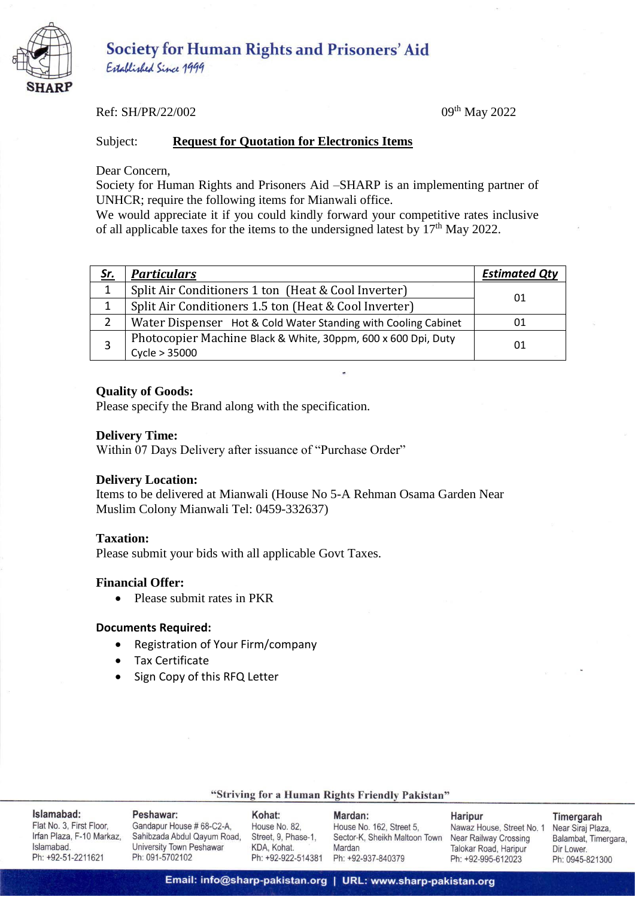

Established Since 1999

## Ref: SH/PR/22/002 09th May 2022

## Subject: **Request for Quotation for Electronics Items**

Dear Concern,

Society for Human Rights and Prisoners Aid –SHARP is an implementing partner of UNHCR; require the following items for Mianwali office.

We would appreciate it if you could kindly forward your competitive rates inclusive of all applicable taxes for the items to the undersigned latest by  $17<sup>th</sup>$  May 2022.

| <u>Sr.</u> | <b>Particulars</b>                                                             | <b>Estimated Qty</b> |  |
|------------|--------------------------------------------------------------------------------|----------------------|--|
| 1          | Split Air Conditioners 1 ton (Heat & Cool Inverter)                            |                      |  |
|            | Split Air Conditioners 1.5 ton (Heat & Cool Inverter)                          | 01                   |  |
|            | Water Dispenser Hot & Cold Water Standing with Cooling Cabinet                 | 01                   |  |
|            | Photocopier Machine Black & White, 30ppm, 600 x 600 Dpi, Duty<br>Cycle > 35000 | 01                   |  |

## **Quality of Goods:**

Please specify the Brand along with the specification.

#### **Delivery Time:**

Within 07 Days Delivery after issuance of "Purchase Order"

## **Delivery Location:**

Items to be delivered at Mianwali (House No 5-A Rehman Osama Garden Near Muslim Colony Mianwali Tel: 0459-332637)

## **Taxation:**

Please submit your bids with all applicable Govt Taxes.

## **Financial Offer:**

• Please submit rates in PKR

#### **Documents Required:**

- Registration of Your Firm/company
- Tax Certificate
- Sign Copy of this RFQ Letter

## "Striving for a Human Rights Friendly Pakistan"

| Islamabad:                | Peshawar:                   | Kohat:              | Mardan:                       | <b>Haripur</b>          | Timergarah           |
|---------------------------|-----------------------------|---------------------|-------------------------------|-------------------------|----------------------|
| Flat No. 3. First Floor.  | Gandapur House # 68-C2-A.   | House No. 82.       | House No. 162, Street 5.      | Nawaz House, Street No. | Near Siraj Plaza.    |
| Irfan Plaza, F-10 Markaz. | Sahibzada Abdul Qayum Road, | Street, 9, Phase-1. | Sector-K, Sheikh Maltoon Town | Near Railway Crossing   | Balambat, Timergara, |
| Islamabad.                | University Town Peshawar    | KDA, Kohat.         | Mardan                        | Talokar Road, Haripur   | Dir Lower.           |
| Ph: +92-51-2211621        | Ph: 091-5702102             | Ph: +92-922-514381  | Ph: +92-937-840379            | Ph: +92-995-612023      | Ph: 0945-821300      |

## Email: info@sharp-pakistan.org | URL: www.sharp-pakistan.org